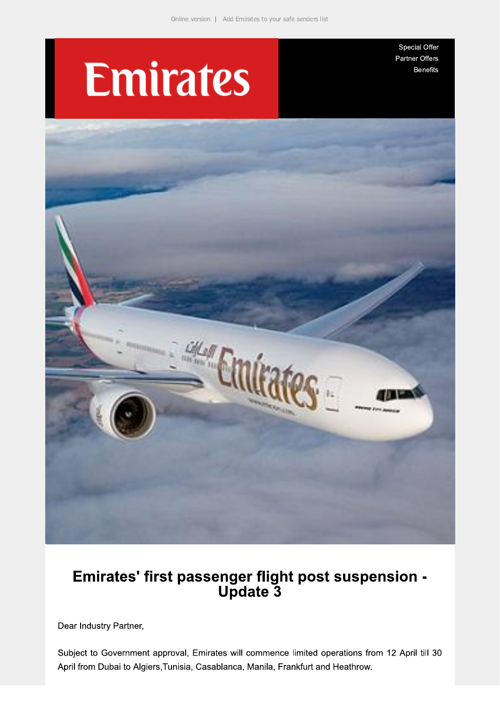# **Emirates**

Special Offer Partner Offers **Benefits** 



## Emirates' first passenger flight post suspension -<br>Update 3

Dear Industry Partner,

Subject to Government approval, Emirates will commence limited operations from 12 April till 30 April from Dubai to Algiers, Tunisia, Casablanca, Manila, Frankfurt and Heathrow.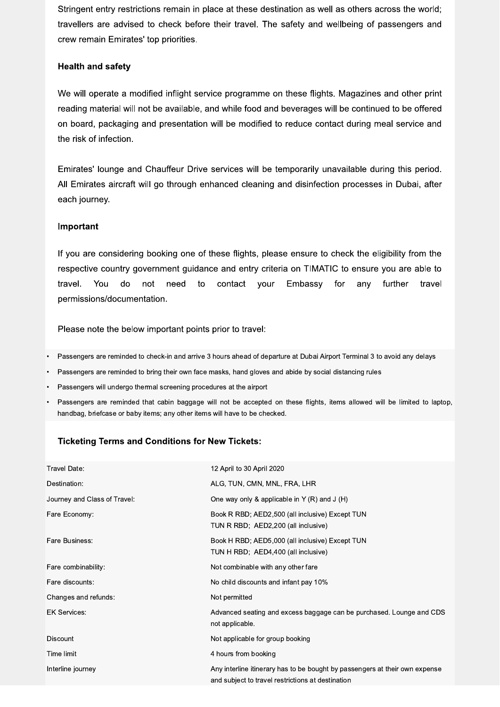Stringent entry restrictions remain in place at these destination as well as others across the world; travellers are advised to check before their travel. The safety and wellbeing of passengers and crew remain Emirates' top priorities.

#### **Health and safety**

We will operate a modified inflight service programme on these flights. Magazines and other print reading material will not be available, and while food and beverages will be continued to be offered on board, packaging and presentation will be modified to reduce contact during meal service and the risk of infection.

Emirates' lounge and Chauffeur Drive services will be temporarily unavailable during this period. All Emirates aircraft will go through enhanced cleaning and disinfection processes in Dubai, after each journey.

#### Important

If you are considering booking one of these flights, please ensure to check the eligibility from the respective country government guidance and entry criteria on TIMATIC to ensure you are able to not need contact your Embassy further travel. You do to for any travel permissions/documentation.

Please note the below important points prior to travel:

- Passengers are reminded to check-in and arrive 3 hours ahead of departure at Dubai Airport Terminal 3 to avoid any delays
- Passengers are reminded to bring their own face masks, hand gloves and abide by social distancing rules
- Passengers will undergo thermal screening procedures at the airport
- Passengers are reminded that cabin baggage will not be accepted on these flights, items allowed will be limited to laptop, handbag, briefcase or baby items; any other items will have to be checked.

### **Ticketing Terms and Conditions for New Tickets:**

| Travel Date:                 | 12 April to 30 April 2020                                                                                                        |
|------------------------------|----------------------------------------------------------------------------------------------------------------------------------|
| Destination:                 | ALG, TUN, CMN, MNL, FRA, LHR                                                                                                     |
| Journey and Class of Travel: | One way only & applicable in Y $(R)$ and J $(H)$                                                                                 |
| Fare Economy:                | Book R RBD; AED2,500 (all inclusive) Except TUN<br>TUN R RBD; AED2,200 (all inclusive)                                           |
| Fare Business:               | Book H RBD; AED5,000 (all inclusive) Except TUN<br>TUN H RBD; AED4,400 (all inclusive)                                           |
| Fare combinability:          | Not combinable with any other fare                                                                                               |
| Fare discounts:              | No child discounts and infant pay 10%                                                                                            |
| Changes and refunds:         | Not permitted                                                                                                                    |
| <b>EK Services:</b>          | Advanced seating and excess baggage can be purchased. Lounge and CDS<br>not applicable.                                          |
| Discount                     | Not applicable for group booking                                                                                                 |
| Time limit                   | 4 hours from booking                                                                                                             |
| Interline journey            | Any interline itinerary has to be bought by passengers at their own expense<br>and subject to travel restrictions at destination |